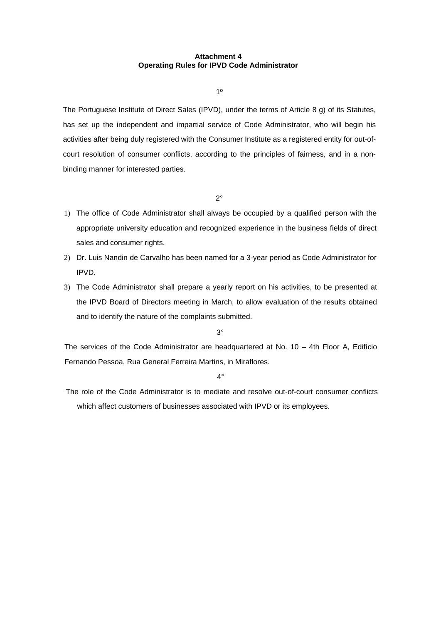## **Attachment 4 Operating Rules for IPVD Code Administrator**

1º

The Portuguese Institute of Direct Sales (IPVD), under the terms of Article 8 g) of its Statutes, has set up the independent and impartial service of Code Administrator, who will begin his activities after being duly registered with the Consumer Institute as a registered entity for out-ofcourt resolution of consumer conflicts, according to the principles of fairness, and in a nonbinding manner for interested parties.

2°

- 1) The office of Code Administrator shall always be occupied by a qualified person with the appropriate university education and recognized experience in the business fields of direct sales and consumer rights.
- 2) Dr. Luis Nandin de Carvalho has been named for a 3-year period as Code Administrator for IPVD.
- 3) The Code Administrator shall prepare a yearly report on his activities, to be presented at the IPVD Board of Directors meeting in March, to allow evaluation of the results obtained and to identify the nature of the complaints submitted.

3°

The services of the Code Administrator are headquartered at No. 10 – 4th Floor A, Edifício Fernando Pessoa, Rua General Ferreira Martins, in Miraflores.

4°

The role of the Code Administrator is to mediate and resolve out-of-court consumer conflicts which affect customers of businesses associated with IPVD or its employees.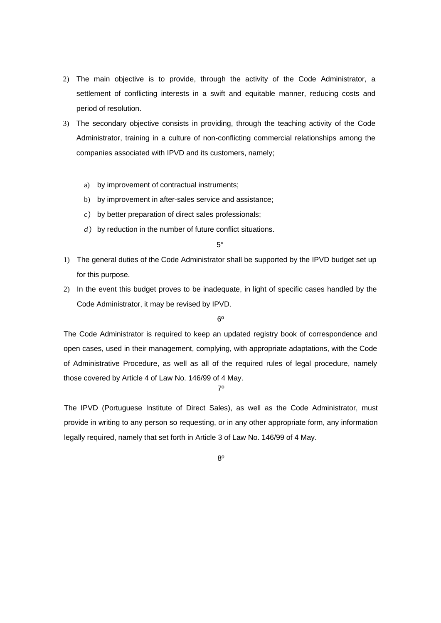- 2) The main objective is to provide, through the activity of the Code Administrator, a settlement of conflicting interests in a swift and equitable manner, reducing costs and period of resolution.
- 3) The secondary objective consists in providing, through the teaching activity of the Code Administrator, training in a culture of non-conflicting commercial relationships among the companies associated with IPVD and its customers, namely;
	- a) by improvement of contractual instruments;
	- b) by improvement in after-sales service and assistance;
	- *c )* by better preparation of direct sales professionals;
	- *d )* by reduction in the number of future conflict situations.

5°

- 1) The general duties of the Code Administrator shall be supported by the IPVD budget set up for this purpose.
- 2) In the event this budget proves to be inadequate, in light of specific cases handled by the Code Administrator, it may be revised by IPVD.

 $6<sup>°</sup>$ 

The Code Administrator is required to keep an updated registry book of correspondence and open cases, used in their management, complying, with appropriate adaptations, with the Code of Administrative Procedure, as well as all of the required rules of legal procedure, namely those covered by Article 4 of Law No. 146/99 of 4 May.

7º

The IPVD (Portuguese Institute of Direct Sales), as well as the Code Administrator, must provide in writing to any person so requesting, or in any other appropriate form, any information legally required, namely that set forth in Article 3 of Law No. 146/99 of 4 May.

8º